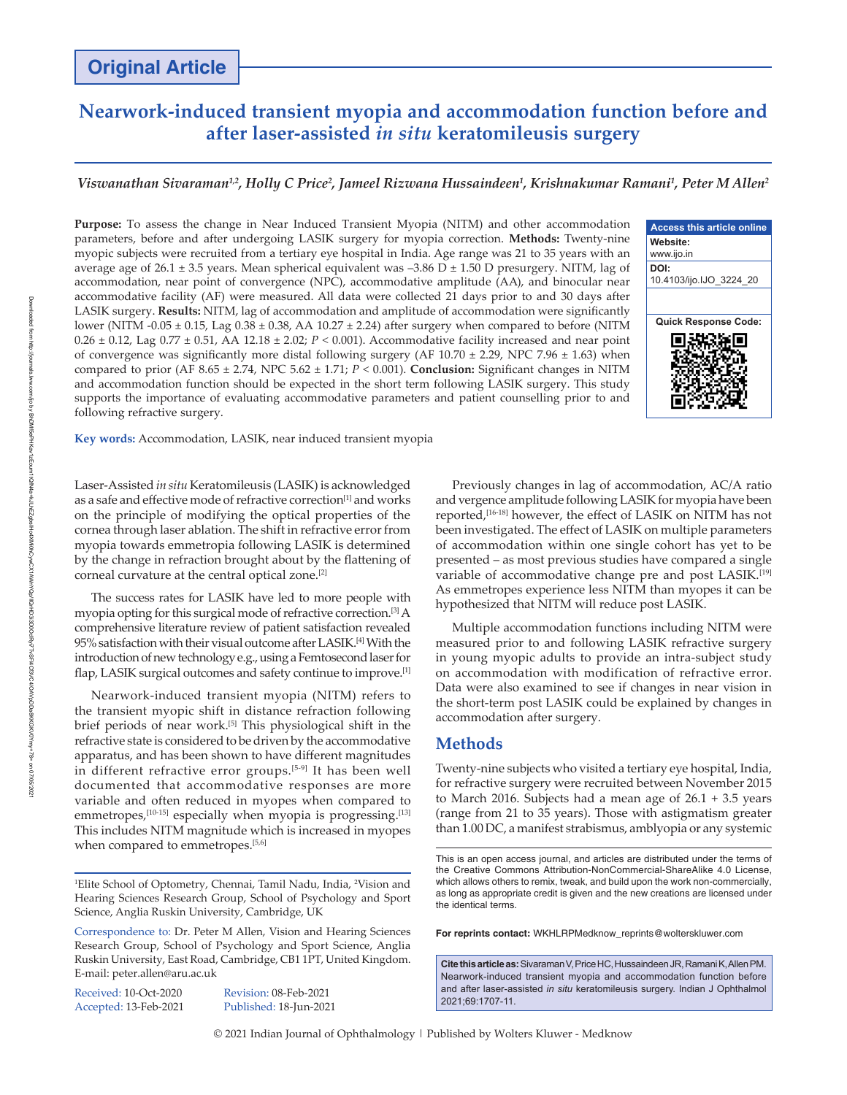# **Nearwork‑induced transient myopia and accommodation function before and after laser-assisted** *in situ* **keratomileusis surgery**

# *Viswanathan Sivaraman1,2, Holly C Price2 , Jameel Rizwana Hussaindeen1 , Krishnakumar Ramani1 , Peter M Allen2*

**Purpose:** To assess the change in Near Induced Transient Myopia (NITM) and other accommodation parameters, before and after undergoing LASIK surgery for myopia correction. **Methods:** Twenty‑nine myopic subjects were recruited from a tertiary eye hospital in India. Age range was 21 to 35 years with an average age of 26.1  $\pm$  3.5 years. Mean spherical equivalent was -3.86 D  $\pm$  1.50 D presurgery. NITM, lag of accommodation, near point of convergence (NPC), accommodative amplitude (AA), and binocular near accommodative facility (AF) were measured. All data were collected 21 days prior to and 30 days after LASIK surgery. **Results:** NITM, lag of accommodation and amplitude of accommodation were significantly lower (NITM ‑0.05 ± 0.15, Lag 0.38 ± 0.38, AA 10.27 ± 2.24) after surgery when compared to before (NITM 0.26 ± 0.12, Lag 0.77 ± 0.51, AA 12.18 ± 2.02; *P <* 0.001). Accommodative facility increased and near point of convergence was significantly more distal following surgery (AF  $10.70 \pm 2.29$ , NPC 7.96  $\pm 1.63$ ) when compared to prior (AF 8.65 ± 2.74, NPC 5.62 ± 1.71; *P <* 0.001). **Conclusion:** Significant changes in NITM and accommodation function should be expected in the short term following LASIK surgery. This study supports the importance of evaluating accommodative parameters and patient counselling prior to and following refractive surgery.



**Key words:** Accommodation, LASIK, near induced transient myopia

Laser‑Assisted *in situ* Keratomileusis (LASIK) is acknowledged as a safe and effective mode of refractive correction<sup>[1]</sup> and works on the principle of modifying the optical properties of the cornea through laser ablation. The shift in refractive error from myopia towards emmetropia following LASIK is determined by the change in refraction brought about by the flattening of corneal curvature at the central optical zone.[2]

The success rates for LASIK have led to more people with myopia opting for this surgical mode of refractive correction.[3] A comprehensive literature review of patient satisfaction revealed 95% satisfaction with their visual outcome after LASIK.[4] With the introduction of new technology e.g., using a Femtosecond laser for flap, LASIK surgical outcomes and safety continue to improve.<sup>[1]</sup>

Nearwork‑induced transient myopia (NITM) refers to the transient myopic shift in distance refraction following brief periods of near work.[5] This physiological shift in the refractive state is considered to be driven by the accommodative apparatus, and has been shown to have different magnitudes in different refractive error groups.<sup>[5-9]</sup> It has been well documented that accommodative responses are more variable and often reduced in myopes when compared to emmetropes, $[10-15]$  especially when myopia is progressing.<sup>[13]</sup> This includes NITM magnitude which is increased in myopes when compared to emmetropes.<sup>[5,6]</sup>

Received: 10-Oct-2020 Revision: 08-Feb-2021

Accepted: 13-Feb-2021 Published: 18-Jun-2021

Previously changes in lag of accommodation, AC/A ratio and vergence amplitude following LASIK for myopia have been reported,<sup>[16-18]</sup> however, the effect of LASIK on NITM has not been investigated. The effect of LASIK on multiple parameters of accommodation within one single cohort has yet to be presented – as most previous studies have compared a single variable of accommodative change pre and post LASIK.<sup>[19]</sup> As emmetropes experience less NITM than myopes it can be hypothesized that NITM will reduce post LASIK.

Multiple accommodation functions including NITM were measured prior to and following LASIK refractive surgery in young myopic adults to provide an intra-subject study on accommodation with modification of refractive error. Data were also examined to see if changes in near vision in the short-term post LASIK could be explained by changes in accommodation after surgery.

# **Methods**

Twenty‑nine subjects who visited a tertiary eye hospital, India, for refractive surgery were recruited between November 2015 to March 2016. Subjects had a mean age of 26.1 + 3.5 years (range from 21 to 35 years). Those with astigmatism greater than 1.00 DC, a manifest strabismus, amblyopia or any systemic

**For reprints contact:** WKHLRPMedknow\_reprints@wolterskluwer.com

**Cite this article as:** Sivaraman V, Price HC, Hussaindeen JR, Ramani K, Allen PM. Nearwork‑induced transient myopia and accommodation function before and after laser-assisted *in situ* keratomileusis surgery. Indian J Ophthalmol 2021;69:1707-11.

© 2021 Indian Journal of Ophthalmology | Published by Wolters Kluwer - Medknow

<sup>&</sup>lt;sup>1</sup>Elite School of Optometry, Chennai, Tamil Nadu, India, <sup>2</sup>Vision and Hearing Sciences Research Group, School of Psychology and Sport Science, Anglia Ruskin University, Cambridge, UK

Correspondence to: Dr. Peter M Allen, Vision and Hearing Sciences Research Group, School of Psychology and Sport Science, Anglia Ruskin University, East Road, Cambridge, CB1 1PT, United Kingdom. E‑mail: peter.allen@aru.ac.uk

This is an open access journal, and articles are distributed under the terms of the Creative Commons Attribution‑NonCommercial‑ShareAlike 4.0 License, which allows others to remix, tweak, and build upon the work non-commercially, as long as appropriate credit is given and the new creations are licensed under the identical terms.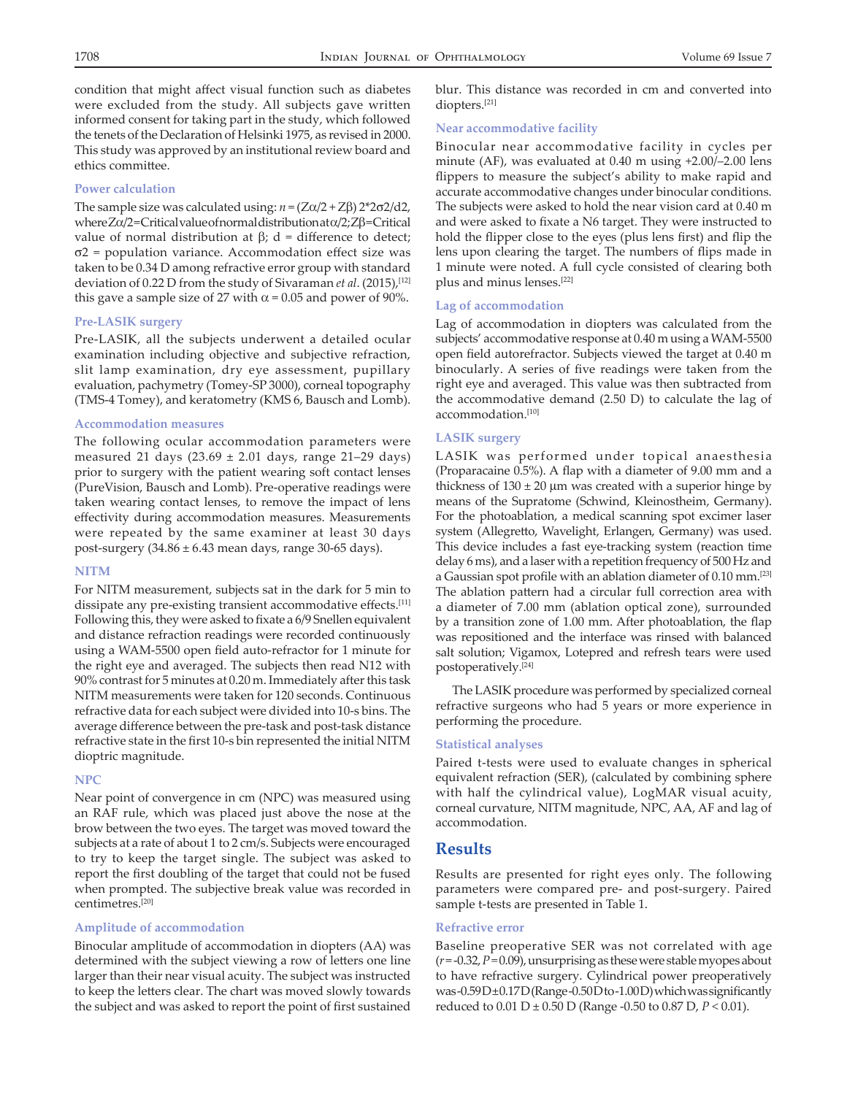condition that might affect visual function such as diabetes were excluded from the study. All subjects gave written informed consent for taking part in the study, which followed the tenets of the Declaration of Helsinki 1975, as revised in 2000. This study was approved by an institutional review board and ethics committee.

# **Power calculation**

The sample size was calculated using: *n* = (Zα/2 + Zβ) 2\*2σ2/d2, where Zα/2 = Critical value of normal distribution at α/2; Zβ = Critical value of normal distribution at β; d = difference to detect; σ2 = population variance. Accommodation effect size was taken to be 0.34 D among refractive error group with standard deviation of 0.22 D from the study of Sivaraman *et al*. (2015),[12] this gave a sample size of 27 with  $\alpha$  = 0.05 and power of 90%.

# **Pre‑LASIK surgery**

Pre-LASIK, all the subjects underwent a detailed ocular examination including objective and subjective refraction, slit lamp examination, dry eye assessment, pupillary evaluation, pachymetry (Tomey‑SP 3000), corneal topography (TMS‑4 Tomey), and keratometry (KMS 6, Bausch and Lomb).

# **Accommodation measures**

The following ocular accommodation parameters were measured 21 days (23.69 ± 2.01 days, range 21–29 days) prior to surgery with the patient wearing soft contact lenses (PureVision, Bausch and Lomb). Pre‑operative readings were taken wearing contact lenses, to remove the impact of lens effectivity during accommodation measures. Measurements were repeated by the same examiner at least 30 days post-surgery  $(34.86 \pm 6.43 \text{ mean days}, \text{range } 30\text{-}65 \text{ days}).$ 

### **NITM**

For NITM measurement, subjects sat in the dark for 5 min to dissipate any pre-existing transient accommodative effects.<sup>[11]</sup> Following this, they were asked to fixate a 6/9 Snellen equivalent and distance refraction readings were recorded continuously using a WAM-5500 open field auto-refractor for 1 minute for the right eye and averaged. The subjects then read N12 with 90% contrast for 5 minutes at 0.20 m. Immediately after this task NITM measurements were taken for 120 seconds. Continuous refractive data for each subject were divided into 10‑s bins. The average difference between the pre-task and post-task distance refractive state in the first 10‑s bin represented the initial NITM dioptric magnitude.

#### **NPC**

Near point of convergence in cm (NPC) was measured using an RAF rule, which was placed just above the nose at the brow between the two eyes. The target was moved toward the subjects at a rate of about 1 to 2 cm/s. Subjects were encouraged to try to keep the target single. The subject was asked to report the first doubling of the target that could not be fused when prompted. The subjective break value was recorded in centimetres.[20]

# **Amplitude of accommodation**

Binocular amplitude of accommodation in diopters (AA) was determined with the subject viewing a row of letters one line larger than their near visual acuity. The subject was instructed to keep the letters clear. The chart was moved slowly towards the subject and was asked to report the point of first sustained blur. This distance was recorded in cm and converted into diopters.[21]

#### **Near accommodative facility**

Binocular near accommodative facility in cycles per minute (AF), was evaluated at 0.40 m using +2.00/–2.00 lens flippers to measure the subject's ability to make rapid and accurate accommodative changes under binocular conditions. The subjects were asked to hold the near vision card at 0.40 m and were asked to fixate a N6 target. They were instructed to hold the flipper close to the eyes (plus lens first) and flip the lens upon clearing the target. The numbers of flips made in 1 minute were noted. A full cycle consisted of clearing both plus and minus lenses.[22]

### **Lag of accommodation**

Lag of accommodation in diopters was calculated from the subjects' accommodative response at 0.40 m using a WAM‑5500 open field autorefractor. Subjects viewed the target at 0.40 m binocularly. A series of five readings were taken from the right eye and averaged. This value was then subtracted from the accommodative demand (2.50 D) to calculate the lag of accommodation.[10]

# **LASIK surgery**

LASIK was performed under topical anaesthesia (Proparacaine 0.5%). A flap with a diameter of 9.00 mm and a thickness of  $130 \pm 20$  µm was created with a superior hinge by means of the Supratome (Schwind, Kleinostheim, Germany). For the photoablation, a medical scanning spot excimer laser system (Allegretto, Wavelight, Erlangen, Germany) was used. This device includes a fast eye-tracking system (reaction time delay 6 ms), and a laser with a repetition frequency of 500 Hz and a Gaussian spot profile with an ablation diameter of 0.10 mm.[23] The ablation pattern had a circular full correction area with a diameter of 7.00 mm (ablation optical zone), surrounded by a transition zone of 1.00 mm. After photoablation, the flap was repositioned and the interface was rinsed with balanced salt solution; Vigamox, Lotepred and refresh tears were used postoperatively.[24]

The LASIK procedure was performed by specialized corneal refractive surgeons who had 5 years or more experience in performing the procedure.

### **Statistical analyses**

Paired t-tests were used to evaluate changes in spherical equivalent refraction (SER), (calculated by combining sphere with half the cylindrical value), LogMAR visual acuity, corneal curvature, NITM magnitude, NPC, AA, AF and lag of accommodation.

# **Results**

Results are presented for right eyes only. The following parameters were compared pre- and post-surgery. Paired sample t-tests are presented in Table 1.

#### **Refractive error**

Baseline preoperative SER was not correlated with age (*r* =‑0.32, *P=*0.09), unsurprising as these were stable myopes about to have refractive surgery. Cylindrical power preoperatively was-0.59 D±0.17 D (Range-0.50 D to-1.00 D) which was significantly reduced to 0.01 D ± 0.50 D (Range ‑0.50 to 0.87 D, *P <* 0.01).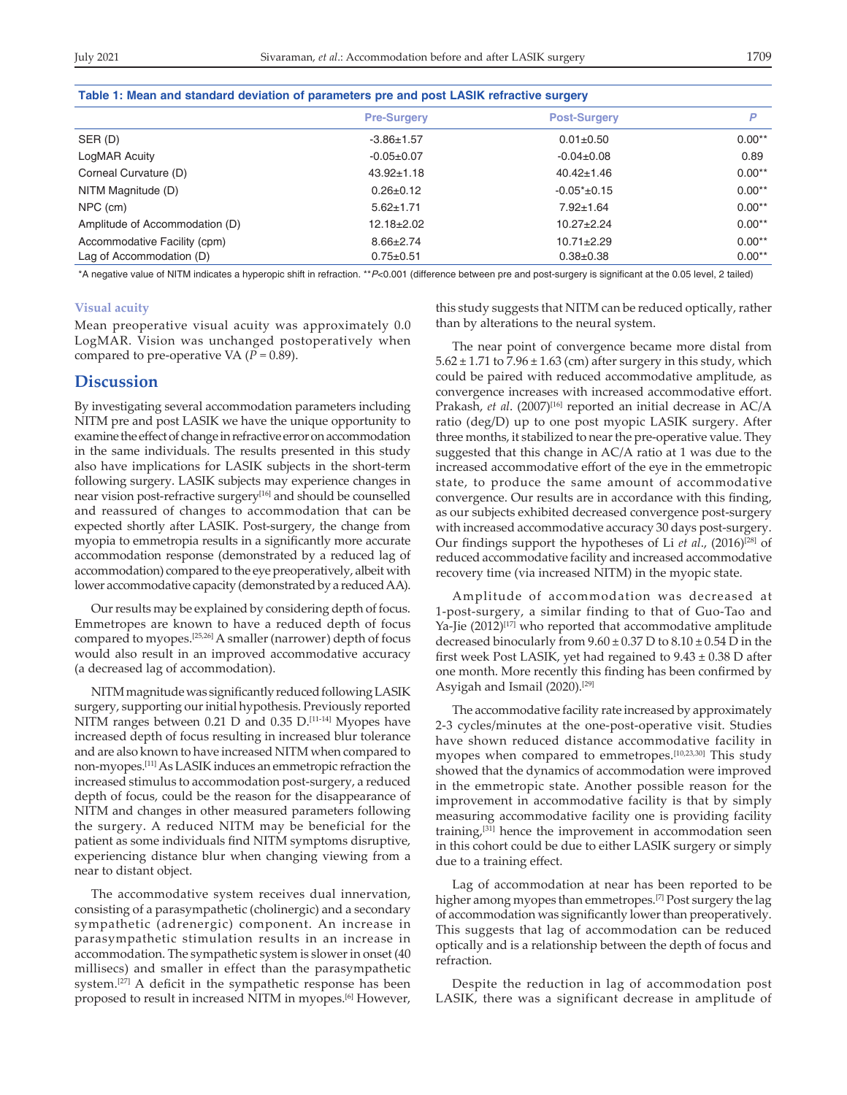| Table 1: Mean and standard deviation of parameters pre and post LASIK refractive surgery |  |  |  |  |
|------------------------------------------------------------------------------------------|--|--|--|--|
| D                                                                                        |  |  |  |  |
| $0.00**$                                                                                 |  |  |  |  |
| 0.89                                                                                     |  |  |  |  |
| $0.00**$                                                                                 |  |  |  |  |
| $0.00**$                                                                                 |  |  |  |  |
| $0.00**$                                                                                 |  |  |  |  |
| $0.00**$                                                                                 |  |  |  |  |
| $0.00**$                                                                                 |  |  |  |  |
| $0.00**$                                                                                 |  |  |  |  |
|                                                                                          |  |  |  |  |

\*A negative value of NITM indicates a hyperopic shift in refraction. \*\*P<0.001 (difference between pre and post-surgery is significant at the 0.05 level, 2 tailed)

#### **Visual acuity**

Mean preoperative visual acuity was approximately 0.0 LogMAR. Vision was unchanged postoperatively when compared to pre-operative VA ( $P = 0.89$ ).

# **Discussion**

By investigating several accommodation parameters including NITM pre and post LASIK we have the unique opportunity to examine the effect of change in refractive error on accommodation in the same individuals. The results presented in this study also have implications for LASIK subjects in the short-term following surgery. LASIK subjects may experience changes in near vision post-refractive surgery<sup>[16]</sup> and should be counselled and reassured of changes to accommodation that can be expected shortly after LASIK. Post-surgery, the change from myopia to emmetropia results in a significantly more accurate accommodation response (demonstrated by a reduced lag of accommodation) compared to the eye preoperatively, albeit with lower accommodative capacity (demonstrated by a reduced AA).

Our results may be explained by considering depth of focus. Emmetropes are known to have a reduced depth of focus compared to myopes.<sup>[25,26]</sup> A smaller (narrower) depth of focus would also result in an improved accommodative accuracy (a decreased lag of accommodation).

NITM magnitude was significantly reduced following LASIK surgery, supporting our initial hypothesis. Previously reported NITM ranges between 0.21 D and 0.35 D.<sup>[11-14]</sup> Myopes have increased depth of focus resulting in increased blur tolerance and are also known to have increased NITM when compared to non‑myopes.[11] As LASIK induces an emmetropic refraction the increased stimulus to accommodation post‑surgery, a reduced depth of focus, could be the reason for the disappearance of NITM and changes in other measured parameters following the surgery. A reduced NITM may be beneficial for the patient as some individuals find NITM symptoms disruptive, experiencing distance blur when changing viewing from a near to distant object.

The accommodative system receives dual innervation, consisting of a parasympathetic (cholinergic) and a secondary sympathetic (adrenergic) component. An increase in parasympathetic stimulation results in an increase in accommodation. The sympathetic system is slower in onset (40 millisecs) and smaller in effect than the parasympathetic system.[27] A deficit in the sympathetic response has been proposed to result in increased NITM in myopes.[6] However, this study suggests that NITM can be reduced optically, rather than by alterations to the neural system.

The near point of convergence became more distal from  $5.62 \pm 1.71$  to  $7.96 \pm 1.63$  (cm) after surgery in this study, which could be paired with reduced accommodative amplitude, as convergence increases with increased accommodative effort. Prakash, et al. (2007)<sup>[16]</sup> reported an initial decrease in AC/A ratio (deg/D) up to one post myopic LASIK surgery. After three months, it stabilized to near the pre‑operative value. They suggested that this change in AC/A ratio at 1 was due to the increased accommodative effort of the eye in the emmetropic state, to produce the same amount of accommodative convergence. Our results are in accordance with this finding, as our subjects exhibited decreased convergence post-surgery with increased accommodative accuracy 30 days post-surgery. Our findings support the hypotheses of Li *et al*., (2016)[28] of reduced accommodative facility and increased accommodative recovery time (via increased NITM) in the myopic state.

Amplitude of accommodation was decreased at 1‑post‑surgery, a similar finding to that of Guo‑Tao and Ya-Jie (2012)<sup>[17]</sup> who reported that accommodative amplitude decreased binocularly from  $9.60 \pm 0.37$  D to  $8.10 \pm 0.54$  D in the first week Post LASIK, yet had regained to  $9.43 \pm 0.38$  D after one month. More recently this finding has been confirmed by Asyigah and Ismail (2020).[29]

The accommodative facility rate increased by approximately 2‑3 cycles/minutes at the one‑post‑operative visit. Studies have shown reduced distance accommodative facility in myopes when compared to emmetropes.[10,23,30] This study showed that the dynamics of accommodation were improved in the emmetropic state. Another possible reason for the improvement in accommodative facility is that by simply measuring accommodative facility one is providing facility training,[31] hence the improvement in accommodation seen in this cohort could be due to either LASIK surgery or simply due to a training effect.

Lag of accommodation at near has been reported to be higher among myopes than emmetropes.<sup>[7]</sup> Post surgery the lag of accommodation was significantly lower than preoperatively. This suggests that lag of accommodation can be reduced optically and is a relationship between the depth of focus and refraction.

Despite the reduction in lag of accommodation post LASIK, there was a significant decrease in amplitude of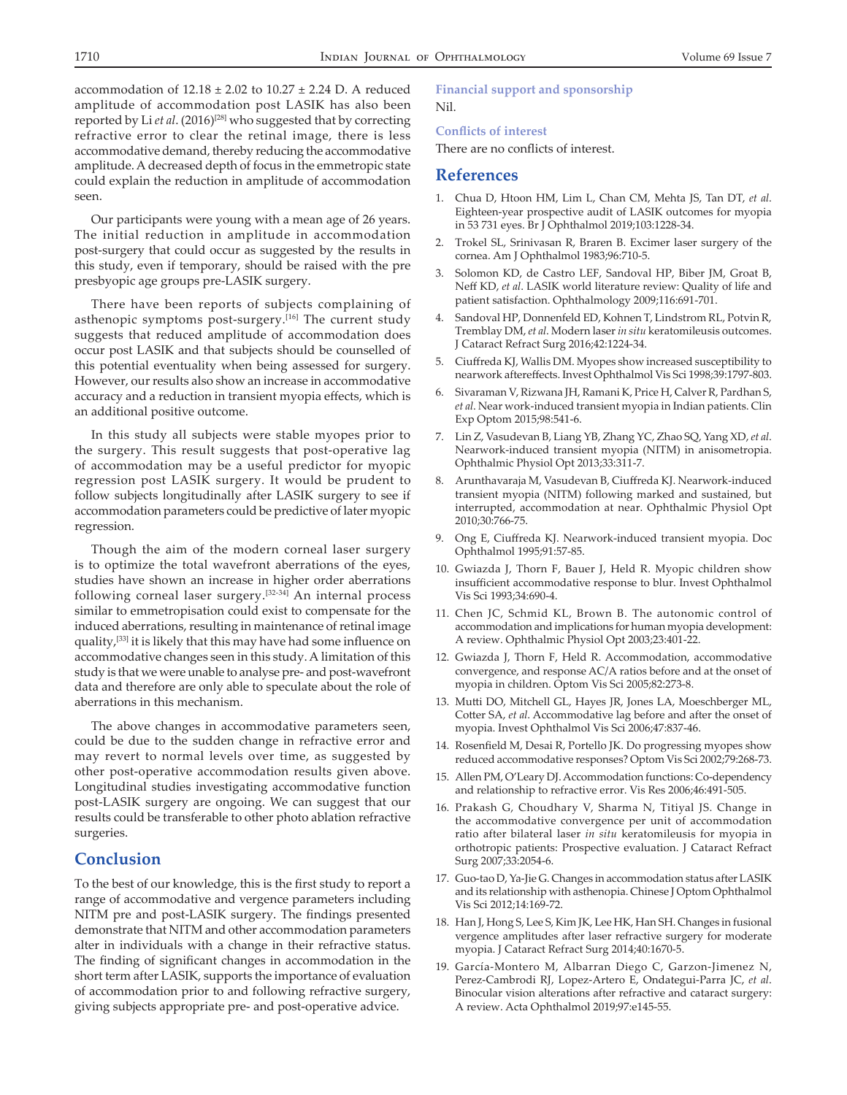accommodation of  $12.18 \pm 2.02$  to  $10.27 \pm 2.24$  D. A reduced amplitude of accommodation post LASIK has also been reported by Li *et al.* (2016)<sup>[28]</sup> who suggested that by correcting refractive error to clear the retinal image, there is less accommodative demand, thereby reducing the accommodative amplitude. A decreased depth of focus in the emmetropic state could explain the reduction in amplitude of accommodation seen.

Our participants were young with a mean age of 26 years. The initial reduction in amplitude in accommodation post‑surgery that could occur as suggested by the results in this study, even if temporary, should be raised with the pre presbyopic age groups pre‑LASIK surgery.

There have been reports of subjects complaining of asthenopic symptoms post-surgery.<sup>[16]</sup> The current study suggests that reduced amplitude of accommodation does occur post LASIK and that subjects should be counselled of this potential eventuality when being assessed for surgery. However, our results also show an increase in accommodative accuracy and a reduction in transient myopia effects, which is an additional positive outcome.

In this study all subjects were stable myopes prior to the surgery. This result suggests that post-operative lag of accommodation may be a useful predictor for myopic regression post LASIK surgery. It would be prudent to follow subjects longitudinally after LASIK surgery to see if accommodation parameters could be predictive of later myopic regression.

Though the aim of the modern corneal laser surgery is to optimize the total wavefront aberrations of the eyes, studies have shown an increase in higher order aberrations following corneal laser surgery.[32‑34] An internal process similar to emmetropisation could exist to compensate for the induced aberrations, resulting in maintenance of retinal image quality,[33] it is likely that this may have had some influence on accommodative changes seen in this study. A limitation of this study is that we were unable to analyse pre‑ and post‑wavefront data and therefore are only able to speculate about the role of aberrations in this mechanism.

The above changes in accommodative parameters seen, could be due to the sudden change in refractive error and may revert to normal levels over time, as suggested by other post‑operative accommodation results given above. Longitudinal studies investigating accommodative function post‑LASIK surgery are ongoing. We can suggest that our results could be transferable to other photo ablation refractive surgeries.

# **Conclusion**

To the best of our knowledge, this is the first study to report a range of accommodative and vergence parameters including NITM pre and post-LASIK surgery. The findings presented demonstrate that NITM and other accommodation parameters alter in individuals with a change in their refractive status. The finding of significant changes in accommodation in the short term after LASIK, supports the importance of evaluation of accommodation prior to and following refractive surgery, giving subjects appropriate pre‑ and post‑operative advice.

# **Financial support and sponsorship** Nil.

# **Conflicts of interest**

There are no conflicts of interest.

# **References**

- 1. Chua D, Htoon HM, Lim L, Chan CM, Mehta JS, Tan DT, *et al*. Eighteen‑year prospective audit of LASIK outcomes for myopia in 53 731 eyes. Br J Ophthalmol 2019;103:1228‑34.
- 2. Trokel SL, Srinivasan R, Braren B. Excimer laser surgery of the cornea. Am J Ophthalmol 1983;96:710‑5.
- 3. Solomon KD, de Castro LEF, Sandoval HP, Biber JM, Groat B, Neff KD, *et al*. LASIK world literature review: Quality of life and patient satisfaction. Ophthalmology 2009;116:691‑701.
- 4. Sandoval HP, Donnenfeld ED, Kohnen T, Lindstrom RL, Potvin R, Tremblay DM, *et al*. Modern laser *in situ* keratomileusis outcomes. J Cataract Refract Surg 2016;42:1224‑34.
- 5. Ciuffreda KJ, Wallis DM. Myopes show increased susceptibility to nearwork aftereffects. Invest Ophthalmol Vis Sci 1998;39:1797‑803.
- 6. Sivaraman V, Rizwana JH, Ramani K, Price H, Calver R, Pardhan S, *et al*. Near work‑induced transient myopia in Indian patients. Clin Exp Optom 2015;98:541-6.
- 7. Lin Z, Vasudevan B, Liang YB, Zhang YC, Zhao SQ, Yang XD, *et al*. Nearwork‑induced transient myopia (NITM) in anisometropia. Ophthalmic Physiol Opt 2013;33:311‑7.
- Arunthavaraja M, Vasudevan B, Ciuffreda KJ. Nearwork-induced transient myopia (NITM) following marked and sustained, but interrupted, accommodation at near. Ophthalmic Physiol Opt 2010;30:766‑75.
- 9. Ong E, Ciuffreda KJ. Nearwork‑induced transient myopia. Doc Ophthalmol 1995;91:57‑85.
- 10. Gwiazda J, Thorn F, Bauer J, Held R. Myopic children show insufficient accommodative response to blur. Invest Ophthalmol Vis Sci 1993;34:690‑4.
- 11. Chen JC, Schmid KL, Brown B. The autonomic control of accommodation and implications for human myopia development: A review. Ophthalmic Physiol Opt 2003;23:401‑22.
- 12. Gwiazda J, Thorn F, Held R. Accommodation, accommodative convergence, and response AC/A ratios before and at the onset of myopia in children. Optom Vis Sci 2005;82:273‑8.
- 13. Mutti DO, Mitchell GL, Hayes JR, Jones LA, Moeschberger ML, Cotter SA, *et al*. Accommodative lag before and after the onset of myopia. Invest Ophthalmol Vis Sci 2006;47:837‑46.
- 14. Rosenfield M, Desai R, Portello JK. Do progressing myopes show reduced accommodative responses? Optom Vis Sci 2002;79:268-73.
- 15. Allen PM, O'Leary DJ. Accommodation functions: Co‑dependency and relationship to refractive error. Vis Res 2006;46:491‑505.
- 16. Prakash G, Choudhary V, Sharma N, Titiyal JS. Change in the accommodative convergence per unit of accommodation ratio after bilateral laser *in situ* keratomileusis for myopia in orthotropic patients: Prospective evaluation. J Cataract Refract Surg 2007;33:2054‑6.
- 17. Guo-tao D, Ya-Jie G. Changes in accommodation status after LASIK and its relationship with asthenopia. Chinese J Optom Ophthalmol Vis Sci 2012;14:169‑72.
- 18. Han J, Hong S, Lee S, Kim JK, Lee HK, Han SH. Changes in fusional vergence amplitudes after laser refractive surgery for moderate myopia. J Cataract Refract Surg 2014;40:1670‑5.
- 19. García‐Montero M, Albarran Diego C, Garzon‑Jimenez N, Perez‑Cambrodi RJ, Lopez‑Artero E, Ondategui‑Parra JC, *et al*. Binocular vision alterations after refractive and cataract surgery: A review. Acta Ophthalmol 2019;97:e145‑55.